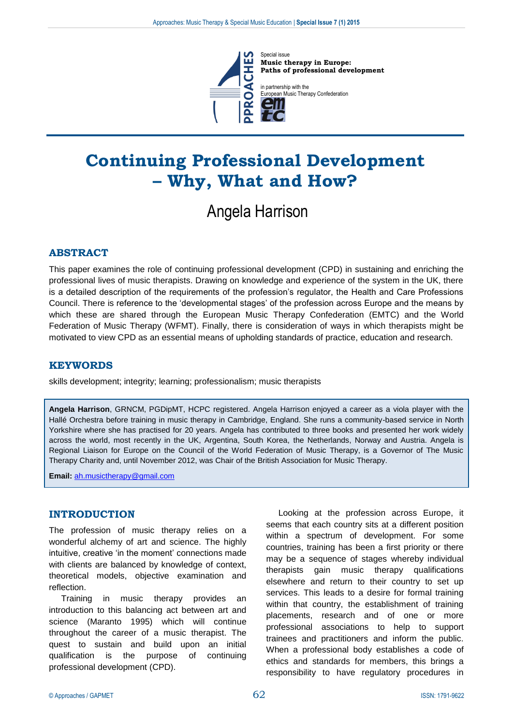

**Music therapy in Europe: Paths of professional development**

in partnership with the ropean Music Therapy Confederation

# **Continuing Professional Development – Why, What and How?**

# Angela Harrison

## **ABSTRACT**

This paper examines the role of continuing professional development (CPD) in sustaining and enriching the professional lives of music therapists. Drawing on knowledge and experience of the system in the UK, there is a detailed description of the requirements of the profession's regulator, the Health and Care Professions Council. There is reference to the 'developmental stages' of the profession across Europe and the means by which these are shared through the European Music Therapy Confederation (EMTC) and the World Federation of Music Therapy (WFMT). Finally, there is consideration of ways in which therapists might be motivated to view CPD as an essential means of upholding standards of practice, education and research.

### **KEYWORDS**

skills development; integrity; learning; professionalism; music therapists

**Angela Harrison**, GRNCM, PGDipMT, HCPC registered. Angela Harrison enjoyed a career as a viola player with the Hallé Orchestra before training in music therapy in Cambridge, England. She runs a community-based service in North Yorkshire where she has practised for 20 years. Angela has contributed to three books and presented her work widely across the world, most recently in the UK, Argentina, South Korea, the Netherlands, Norway and Austria. Angela is Regional Liaison for Europe on the Council of the World Federation of Music Therapy, is a Governor of The Music Therapy Charity and, until November 2012, was Chair of the British Association for Music Therapy.

**Email:** [ah.musictherapy@gmail.com](mailto:ah.musictherapy@gmail.com)

## **INTRODUCTION**

The profession of music therapy relies on a wonderful alchemy of art and science. The highly intuitive, creative 'in the moment' connections made with clients are balanced by knowledge of context, theoretical models, objective examination and reflection.

Training in music therapy provides an introduction to this balancing act between art and science (Maranto 1995) which will continue throughout the career of a music therapist. The quest to sustain and build upon an initial qualification is the purpose of continuing professional development (CPD).

Looking at the profession across Europe, it seems that each country sits at a different position within a spectrum of development. For some countries, training has been a first priority or there may be a sequence of stages whereby individual therapists gain music therapy qualifications elsewhere and return to their country to set up services. This leads to a desire for formal training within that country, the establishment of training placements, research and of one or more professional associations to help to support trainees and practitioners and inform the public. When a professional body establishes a code of ethics and standards for members, this brings a responsibility to have regulatory procedures in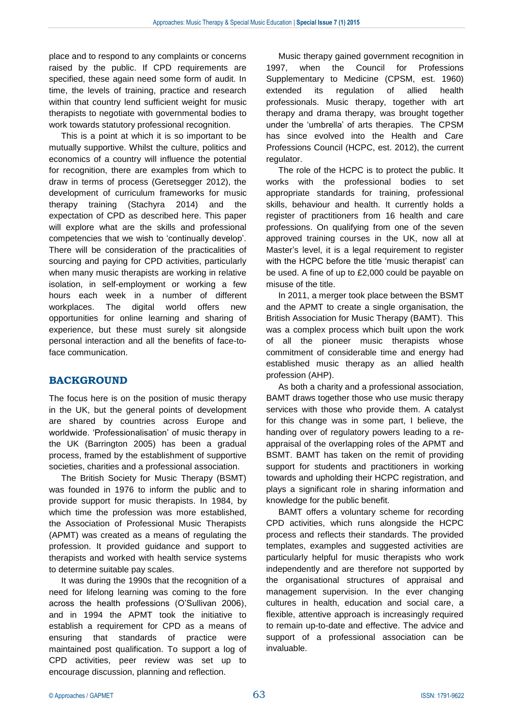place and to respond to any complaints or concerns raised by the public. If CPD requirements are specified, these again need some form of audit. In time, the levels of training, practice and research within that country lend sufficient weight for music therapists to negotiate with governmental bodies to work towards statutory professional recognition.

This is a point at which it is so important to be mutually supportive. Whilst the culture, politics and economics of a country will influence the potential for recognition, there are examples from which to draw in terms of process (Geretsegger 2012), the development of curriculum frameworks for music therapy training (Stachyra 2014) and the expectation of CPD as described here. This paper will explore what are the skills and professional competencies that we wish to 'continually develop'. There will be consideration of the practicalities of sourcing and paying for CPD activities, particularly when many music therapists are working in relative isolation, in self-employment or working a few hours each week in a number of different workplaces. The digital world offers new opportunities for online learning and sharing of experience, but these must surely sit alongside personal interaction and all the benefits of face-toface communication.

## **BACKGROUND**

The focus here is on the position of music therapy in the UK, but the general points of development are shared by countries across Europe and worldwide. 'Professionalisation' of music therapy in the UK (Barrington 2005) has been a gradual process, framed by the establishment of supportive societies, charities and a professional association.

The British Society for Music Therapy (BSMT) was founded in 1976 to inform the public and to provide support for music therapists. In 1984, by which time the profession was more established, the Association of Professional Music Therapists (APMT) was created as a means of regulating the profession. It provided guidance and support to therapists and worked with health service systems to determine suitable pay scales.

It was during the 1990s that the recognition of a need for lifelong learning was coming to the fore across the health professions (O'Sullivan 2006), and in 1994 the APMT took the initiative to establish a requirement for CPD as a means of ensuring that standards of practice were maintained post qualification. To support a log of CPD activities, peer review was set up to encourage discussion, planning and reflection.

Music therapy gained government recognition in 1997, when the Council for Professions Supplementary to Medicine (CPSM, est. 1960) extended its regulation of allied health professionals. Music therapy, together with art therapy and drama therapy, was brought together under the 'umbrella' of arts therapies. The CPSM has since evolved into the Health and Care Professions Council (HCPC, est. 2012), the current regulator.

The role of the HCPC is to protect the public. It works with the professional bodies to set appropriate standards for training, professional skills, behaviour and health. It currently holds a register of practitioners from 16 health and care professions. On qualifying from one of the seven approved training courses in the UK, now all at Master's level, it is a legal requirement to register with the HCPC before the title 'music therapist' can be used. A fine of up to £2,000 could be payable on misuse of the title.

In 2011, a merger took place between the BSMT and the APMT to create a single organisation, the British Association for Music Therapy (BAMT). This was a complex process which built upon the work of all the pioneer music therapists whose commitment of considerable time and energy had established music therapy as an allied health profession (AHP).

As both a charity and a professional association, BAMT draws together those who use music therapy services with those who provide them. A catalyst for this change was in some part, I believe, the handing over of regulatory powers leading to a reappraisal of the overlapping roles of the APMT and BSMT. BAMT has taken on the remit of providing support for students and practitioners in working towards and upholding their HCPC registration, and plays a significant role in sharing information and knowledge for the public benefit.

BAMT offers a voluntary scheme for recording CPD activities, which runs alongside the HCPC process and reflects their standards. The provided templates, examples and suggested activities are particularly helpful for music therapists who work independently and are therefore not supported by the organisational structures of appraisal and management supervision. In the ever changing cultures in health, education and social care, a flexible, attentive approach is increasingly required to remain up-to-date and effective. The advice and support of a professional association can be invaluable.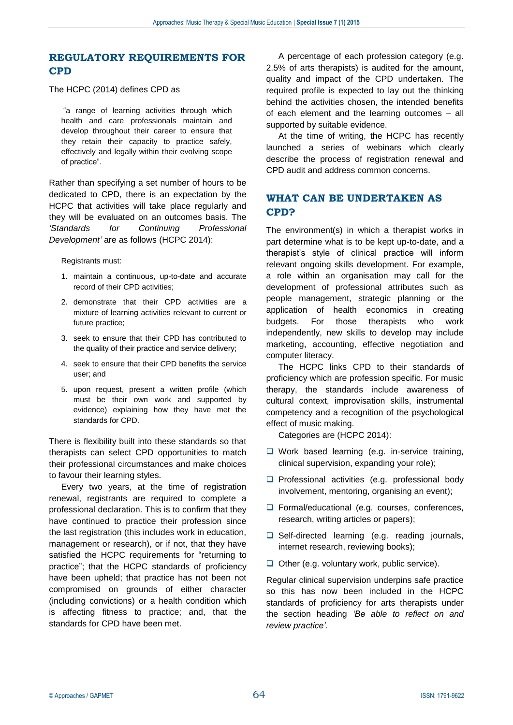## **REGULATORY REQUIREMENTS FOR CPD**

The HCPC (2014) defines CPD as

"a range of learning activities through which health and care professionals maintain and develop throughout their career to ensure that they retain their capacity to practice safely, effectively and legally within their evolving scope of practice".

Rather than specifying a set number of hours to be dedicated to CPD, there is an expectation by the HCPC that activities will take place regularly and they will be evaluated on an outcomes basis. The *'Standards for Continuing Professional Development'* are as follows (HCPC 2014):

Registrants must:

- 1. maintain a continuous, up-to-date and accurate record of their CPD activities;
- 2. demonstrate that their CPD activities are a mixture of learning activities relevant to current or future practice;
- 3. seek to ensure that their CPD has contributed to the quality of their practice and service delivery;
- 4. seek to ensure that their CPD benefits the service user; and
- 5. upon request, present a written profile (which must be their own work and supported by evidence) explaining how they have met the standards for CPD.

There is flexibility built into these standards so that therapists can select CPD opportunities to match their professional circumstances and make choices to favour their learning styles.

Every two years, at the time of registration renewal, registrants are required to complete a professional declaration. This is to confirm that they have continued to practice their profession since the last registration (this includes work in education, management or research), or if not, that they have satisfied the HCPC requirements for "returning to practice"; that the HCPC standards of proficiency have been upheld; that practice has not been not compromised on grounds of either character (including convictions) or a health condition which is affecting fitness to practice; and, that the standards for CPD have been met.

A percentage of each profession category (e.g. 2.5% of arts therapists) is audited for the amount, quality and impact of the CPD undertaken. The required profile is expected to lay out the thinking behind the activities chosen, the intended benefits of each element and the learning outcomes – all supported by suitable evidence.

At the time of writing, the HCPC has recently launched a series of webinars which clearly describe the process of registration renewal and CPD audit and address common concerns.

# **WHAT CAN BE UNDERTAKEN AS CPD?**

The environment(s) in which a therapist works in part determine what is to be kept up-to-date, and a therapist's style of clinical practice will inform relevant ongoing skills development. For example, a role within an organisation may call for the development of professional attributes such as people management, strategic planning or the application of health economics in creating budgets. For those therapists who work independently, new skills to develop may include marketing, accounting, effective negotiation and computer literacy.

The HCPC links CPD to their standards of proficiency which are profession specific. For music therapy, the standards include awareness of cultural context, improvisation skills, instrumental competency and a recognition of the psychological effect of music making.

Categories are (HCPC 2014):

- $\Box$  Work based learning (e.g. in-service training, clinical supervision, expanding your role);
- $\Box$  Professional activities (e.g. professional body involvement, mentoring, organising an event);
- □ Formal/educational (e.g. courses, conferences, research, writing articles or papers);
- $\Box$  Self-directed learning (e.g. reading journals, internet research, reviewing books);
- $\Box$  Other (e.g. voluntary work, public service).

Regular clinical supervision underpins safe practice so this has now been included in the HCPC standards of proficiency for arts therapists under the section heading *'Be able to reflect on and review practice'.*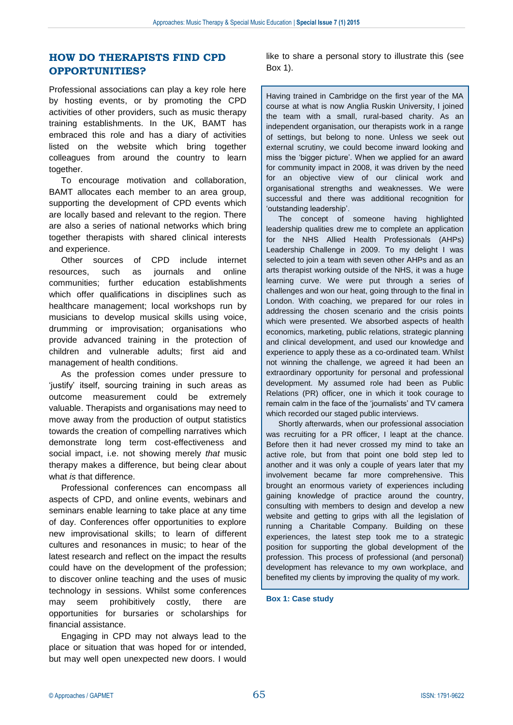## **HOW DO THERAPISTS FIND CPD OPPORTUNITIES?**

Professional associations can play a key role here by hosting events, or by promoting the CPD activities of other providers, such as music therapy training establishments. In the UK, BAMT has embraced this role and has a diary of activities listed on the website which bring together colleagues from around the country to learn together.

To encourage motivation and collaboration, BAMT allocates each member to an area group, supporting the development of CPD events which are locally based and relevant to the region. There are also a series of national networks which bring together therapists with shared clinical interests and experience.

Other sources of CPD include internet resources, such as journals and online communities; further education establishments which offer qualifications in disciplines such as healthcare management; local workshops run by musicians to develop musical skills using voice, drumming or improvisation; organisations who provide advanced training in the protection of children and vulnerable adults; first aid and management of health conditions.

As the profession comes under pressure to 'justify' itself, sourcing training in such areas as outcome measurement could be extremely valuable. Therapists and organisations may need to move away from the production of output statistics towards the creation of compelling narratives which demonstrate long term cost-effectiveness and social impact, i.e. not showing merely *that* music therapy makes a difference, but being clear about what *is* that difference.

Professional conferences can encompass all aspects of CPD, and online events, webinars and seminars enable learning to take place at any time of day. Conferences offer opportunities to explore new improvisational skills; to learn of different cultures and resonances in music; to hear of the latest research and reflect on the impact the results could have on the development of the profession; to discover online teaching and the uses of music technology in sessions. Whilst some conferences may seem prohibitively costly, there are opportunities for bursaries or scholarships for financial assistance.

Engaging in CPD may not always lead to the place or situation that was hoped for or intended, but may well open unexpected new doors. I would like to share a personal story to illustrate this (see Box 1).

Having trained in Cambridge on the first year of the MA course at what is now Anglia Ruskin University, I joined the team with a small, rural-based charity. As an independent organisation, our therapists work in a range of settings, but belong to none. Unless we seek out external scrutiny, we could become inward looking and miss the 'bigger picture'. When we applied for an award for community impact in 2008, it was driven by the need for an objective view of our clinical work and organisational strengths and weaknesses. We were successful and there was additional recognition for 'outstanding leadership'.

The concept of someone having highlighted leadership qualities drew me to complete an application for the NHS Allied Health Professionals (AHPs) Leadership Challenge in 2009. To my delight I was selected to join a team with seven other AHPs and as an arts therapist working outside of the NHS, it was a huge learning curve. We were put through a series of challenges and won our heat, going through to the final in London. With coaching, we prepared for our roles in addressing the chosen scenario and the crisis points which were presented. We absorbed aspects of health economics, marketing, public relations, strategic planning and clinical development, and used our knowledge and experience to apply these as a co-ordinated team. Whilst not winning the challenge, we agreed it had been an extraordinary opportunity for personal and professional development. My assumed role had been as Public Relations (PR) officer, one in which it took courage to remain calm in the face of the 'journalists' and TV camera which recorded our staged public interviews.

Shortly afterwards, when our professional association was recruiting for a PR officer, I leapt at the chance. Before then it had never crossed my mind to take an active role, but from that point one bold step led to another and it was only a couple of years later that my involvement became far more comprehensive. This brought an enormous variety of experiences including gaining knowledge of practice around the country, consulting with members to design and develop a new website and getting to grips with all the legislation of running a Charitable Company. Building on these experiences, the latest step took me to a strategic position for supporting the global development of the profession. This process of professional (and personal) development has relevance to my own workplace, and benefited my clients by improving the quality of my work.

**Box 1: Case study**